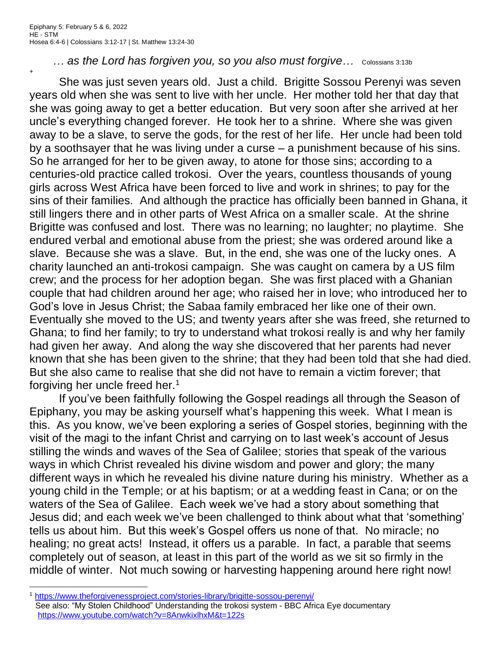+

... as the Lord has forgiven you, so you also must forgive... Colossians 3:13b

She was just seven years old. Just a child. Brigitte Sossou Perenyi was seven years old when she was sent to live with her uncle. Her mother told her that day that she was going away to get a better education. But very soon after she arrived at her uncle's everything changed forever. He took her to a shrine. Where she was given away to be a slave, to serve the gods, for the rest of her life. Her uncle had been told by a soothsayer that he was living under a curse – a punishment because of his sins. So he arranged for her to be given away, to atone for those sins; according to a centuries-old practice called trokosi. Over the years, countless thousands of young girls across West Africa have been forced to live and work in shrines; to pay for the sins of their families. And although the practice has officially been banned in Ghana, it still lingers there and in other parts of West Africa on a smaller scale. At the shrine Brigitte was confused and lost. There was no learning; no laughter; no playtime. She endured verbal and emotional abuse from the priest; she was ordered around like a slave. Because she was a slave. But, in the end, she was one of the lucky ones. A charity launched an anti-trokosi campaign. She was caught on camera by a US film crew; and the process for her adoption began. She was first placed with a Ghanian couple that had children around her age; who raised her in love; who introduced her to God's love in Jesus Christ; the Sabaa family embraced her like one of their own. Eventually she moved to the US; and twenty years after she was freed, she returned to Ghana; to find her family; to try to understand what trokosi really is and why her family had given her away. And along the way she discovered that her parents had never known that she has been given to the shrine; that they had been told that she had died. But she also came to realise that she did not have to remain a victim forever; that forgiving her uncle freed her.<sup>1</sup>

If you've been faithfully following the Gospel readings all through the Season of Epiphany, you may be asking yourself what's happening this week. What I mean is this. As you know, we've been exploring a series of Gospel stories, beginning with the visit of the magi to the infant Christ and carrying on to last week's account of Jesus stilling the winds and waves of the Sea of Galilee; stories that speak of the various ways in which Christ revealed his divine wisdom and power and glory; the many different ways in which he revealed his divine nature during his ministry. Whether as a young child in the Temple; or at his baptism; or at a wedding feast in Cana; or on the waters of the Sea of Galilee. Each week we've had a story about something that Jesus did; and each week we've been challenged to think about what that 'something' tells us about him. But this week's Gospel offers us none of that. No miracle; no healing; no great acts! Instead, it offers us a parable. In fact, a parable that seems completely out of season, at least in this part of the world as we sit so firmly in the middle of winter. Not much sowing or harvesting happening around here right now!

<sup>1</sup> <https://www.theforgivenessproject.com/stories-library/brigitte-sossou-perenyi/> See also: "My Stolen Childhood" Understanding the trokosi system - BBC Africa Eye documentary <https://www.youtube.com/watch?v=8AnwkixlhxM&t=122s>